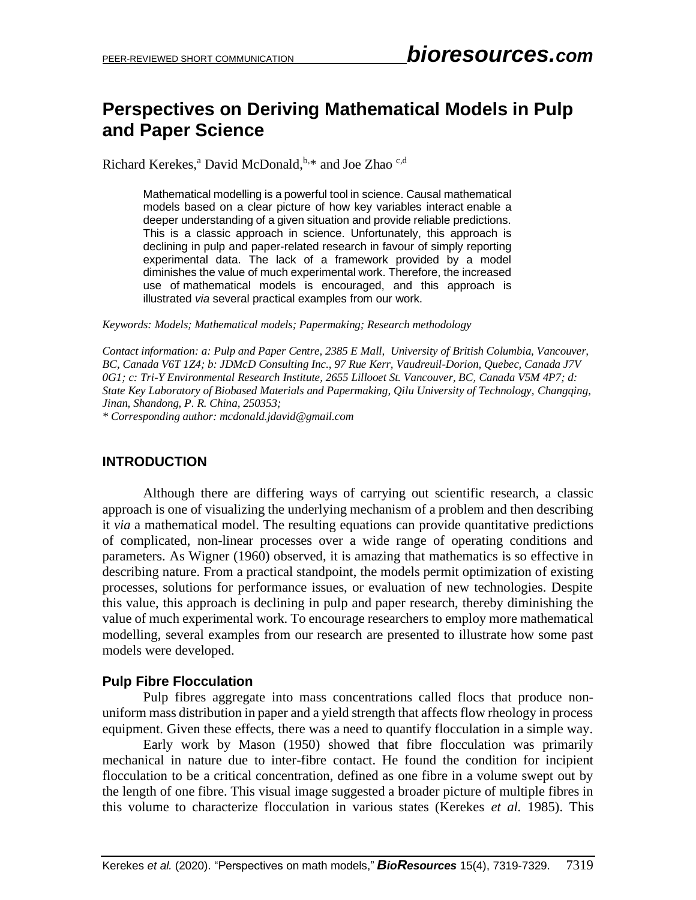# **Perspectives on Deriving Mathematical Models in Pulp and Paper Science**

Richard Kerekes,<sup>a</sup> David McDonald, <sup>b,\*</sup> and Joe Zhao<sup>c,d</sup>

Mathematical modelling is a powerful tool in science. Causal mathematical models based on a clear picture of how key variables interact enable a deeper understanding of a given situation and provide reliable predictions. This is a classic approach in science. Unfortunately, this approach is declining in pulp and paper-related research in favour of simply reporting experimental data. The lack of a framework provided by a model diminishes the value of much experimental work. Therefore, the increased use of mathematical models is encouraged, and this approach is illustrated *via* several practical examples from our work.

*Keywords: Models; Mathematical models; Papermaking; Research methodology*

*Contact information: a: Pulp and Paper Centre, 2385 E Mall, University of British Columbia, Vancouver, BC, Canada V6T 1Z4; b: JDMcD Consulting Inc., 97 Rue Kerr, Vaudreuil-Dorion, Quebec, Canada J7V 0G1; c: Tri-Y Environmental Research Institute, 2655 Lillooet St. Vancouver, BC, Canada V5M 4P7; d: State Key Laboratory of Biobased Materials and Papermaking, Qilu University of Technology, Changqing, Jinan, Shandong, P. R. China, 250353;* 

*\* Corresponding author: mcdonald.jdavid@gmail.com*

# **INTRODUCTION**

Although there are differing ways of carrying out scientific research, a classic approach is one of visualizing the underlying mechanism of a problem and then describing it *via* a mathematical model. The resulting equations can provide quantitative predictions of complicated, non-linear processes over a wide range of operating conditions and parameters. As Wigner (1960) observed, it is amazing that mathematics is so effective in describing nature. From a practical standpoint, the models permit optimization of existing processes, solutions for performance issues, or evaluation of new technologies. Despite this value, this approach is declining in pulp and paper research, thereby diminishing the value of much experimental work. To encourage researchers to employ more mathematical modelling, several examples from our research are presented to illustrate how some past models were developed.

# **Pulp Fibre Flocculation**

Pulp fibres aggregate into mass concentrations called flocs that produce nonuniform mass distribution in paper and a yield strength that affects flow rheology in process equipment. Given these effects, there was a need to quantify flocculation in a simple way.

Early work by Mason (1950) showed that fibre flocculation was primarily mechanical in nature due to inter-fibre contact. He found the condition for incipient flocculation to be a critical concentration, defined as one fibre in a volume swept out by the length of one fibre. This visual image suggested a broader picture of multiple fibres in this volume to characterize flocculation in various states (Kerekes *et al.* 1985). This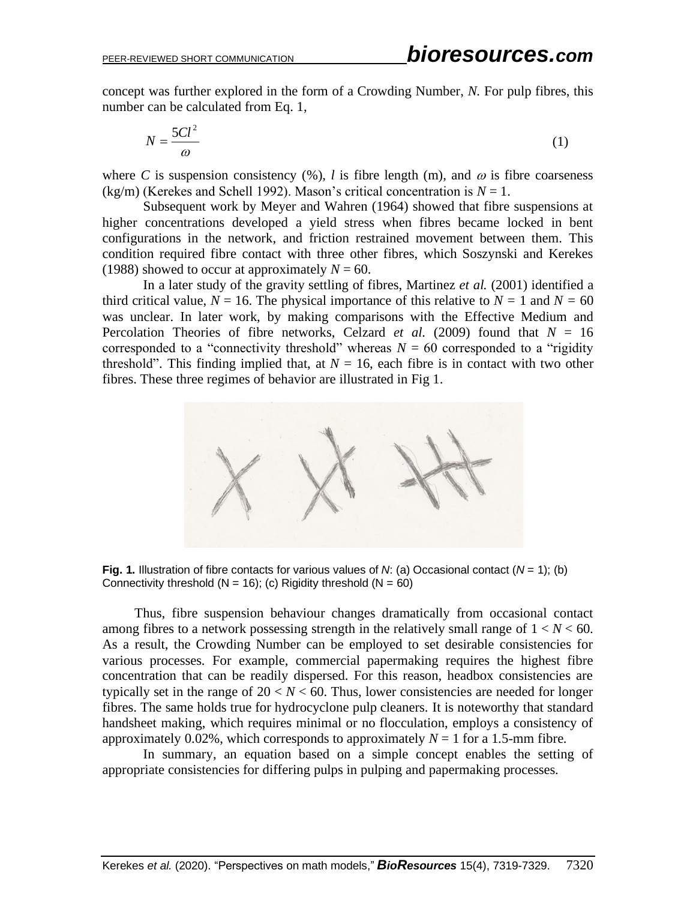concept was further explored in the form of a Crowding Number, *N.* For pulp fibres, this number can be calculated from Eq. 1,

$$
N = \frac{5Cl^2}{\omega} \tag{1}
$$

where *C* is suspension consistency  $(\%)$ , *l* is fibre length (m), and  $\omega$  is fibre coarseness  $(kg/m)$  (Kerekes and Schell 1992). Mason's critical concentration is  $N = 1$ .

Subsequent work by Meyer and Wahren (1964) showed that fibre suspensions at higher concentrations developed a yield stress when fibres became locked in bent configurations in the network, and friction restrained movement between them. This condition required fibre contact with three other fibres, which Soszynski and Kerekes (1988) showed to occur at approximately  $N = 60$ .

In a later study of the gravity settling of fibres, Martinez *et al.* (2001) identified a third critical value,  $N = 16$ . The physical importance of this relative to  $N = 1$  and  $N = 60$ was unclear. In later work, by making comparisons with the Effective Medium and Percolation Theories of fibre networks, Celzard *et al.* (2009) found that  $N = 16$ corresponded to a "connectivity threshold" whereas  $N = 60$  corresponded to a "rigidity" threshold". This finding implied that, at  $N = 16$ , each fibre is in contact with two other fibres. These three regimes of behavior are illustrated in Fig 1.



**Fig. 1.** Illustration of fibre contacts for various values of *N*: (a) Occasional contact (*N* = 1); (b) Connectivity threshold ( $N = 16$ ); (c) Rigidity threshold ( $N = 60$ )

Thus, fibre suspension behaviour changes dramatically from occasional contact among fibres to a network possessing strength in the relatively small range of  $1 < N < 60$ . As a result, the Crowding Number can be employed to set desirable consistencies for various processes. For example, commercial papermaking requires the highest fibre concentration that can be readily dispersed. For this reason, headbox consistencies are typically set in the range of  $20 < N < 60$ . Thus, lower consistencies are needed for longer fibres. The same holds true for hydrocyclone pulp cleaners. It is noteworthy that standard handsheet making, which requires minimal or no flocculation, employs a consistency of approximately 0.02%, which corresponds to approximately  $N = 1$  for a 1.5-mm fibre.

In summary, an equation based on a simple concept enables the setting of appropriate consistencies for differing pulps in pulping and papermaking processes.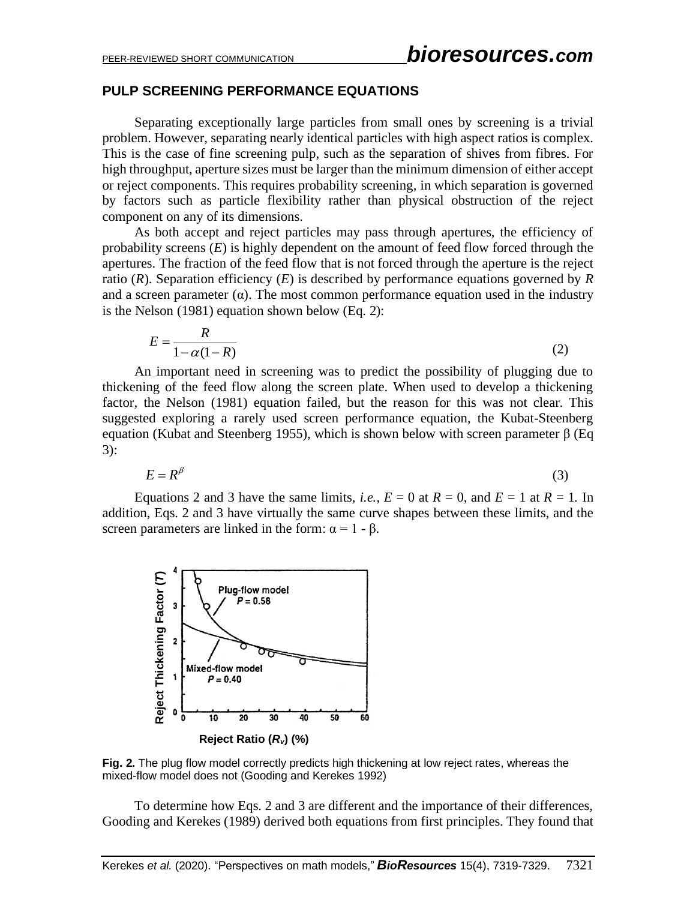# **PULP SCREENING PERFORMANCE EQUATIONS**

Separating exceptionally large particles from small ones by screening is a trivial problem. However, separating nearly identical particles with high aspect ratios is complex. This is the case of fine screening pulp, such as the separation of shives from fibres. For high throughput, aperture sizes must be larger than the minimum dimension of either accept or reject components. This requires probability screening, in which separation is governed by factors such as particle flexibility rather than physical obstruction of the reject component on any of its dimensions.

As both accept and reject particles may pass through apertures, the efficiency of probability screens (*E*) is highly dependent on the amount of feed flow forced through the apertures. The fraction of the feed flow that is not forced through the aperture is the reject ratio (*R*). Separation efficiency (*E*) is described by performance equations governed by *R* and a screen parameter  $(\alpha)$ . The most common performance equation used in the industry is the Nelson (1981) equation shown below (Eq. 2):

$$
E = \frac{R}{1 - \alpha(1 - R)}\tag{2}
$$

An important need in screening was to predict the possibility of plugging due to thickening of the feed flow along the screen plate. When used to develop a thickening factor, the Nelson (1981) equation failed, but the reason for this was not clear. This suggested exploring a rarely used screen performance equation, the Kubat-Steenberg equation (Kubat and Steenberg 1955), which is shown below with screen parameter β (Eq. 3):

$$
E = R^{\beta} \tag{3}
$$

Equations 2 and 3 have the same limits, *i.e.*,  $E = 0$  at  $R = 0$ , and  $E = 1$  at  $R = 1$ . In addition, Eqs. 2 and 3 have virtually the same curve shapes between these limits, and the screen parameters are linked in the form:  $\alpha = 1 - \beta$ .



**Fig. 2.** The plug flow model correctly predicts high thickening at low reject rates, whereas the mixed-flow model does not (Gooding and Kerekes 1992)

To determine how Eqs. 2 and 3 are different and the importance of their differences, Gooding and Kerekes (1989) derived both equations from first principles. They found that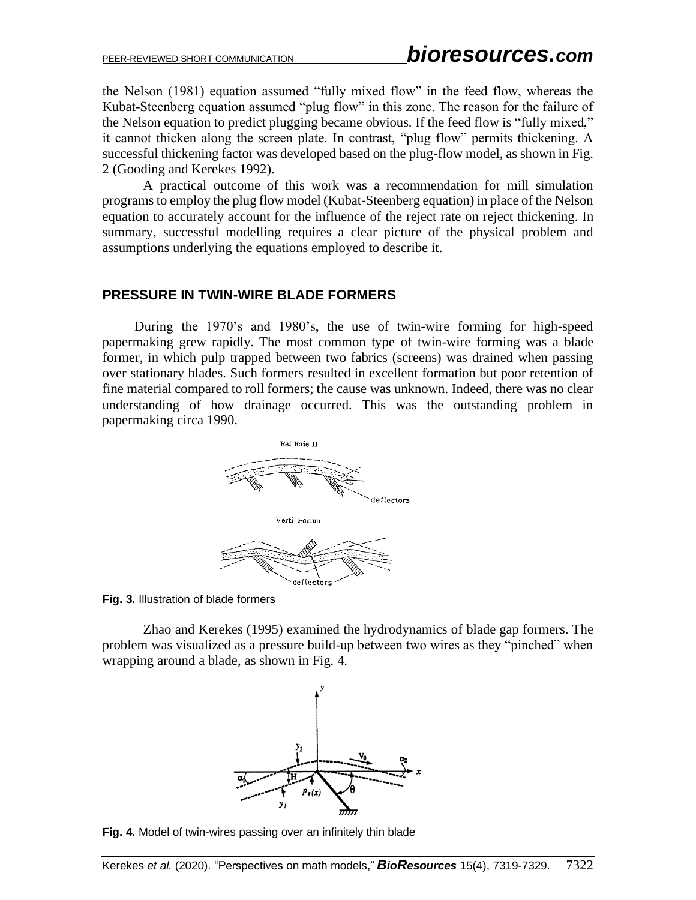the Nelson (1981) equation assumed "fully mixed flow" in the feed flow, whereas the Kubat-Steenberg equation assumed "plug flow" in this zone. The reason for the failure of the Nelson equation to predict plugging became obvious. If the feed flow is "fully mixed," it cannot thicken along the screen plate. In contrast, "plug flow" permits thickening. A successful thickening factor was developed based on the plug-flow model, as shown in Fig. 2 (Gooding and Kerekes 1992).

A practical outcome of this work was a recommendation for mill simulation programs to employ the plug flow model (Kubat-Steenberg equation) in place of the Nelson equation to accurately account for the influence of the reject rate on reject thickening. In summary, successful modelling requires a clear picture of the physical problem and assumptions underlying the equations employed to describe it.

# **PRESSURE IN TWIN-WIRE BLADE FORMERS**

During the 1970's and 1980's, the use of twin-wire forming for high-speed papermaking grew rapidly. The most common type of twin-wire forming was a blade former, in which pulp trapped between two fabrics (screens) was drained when passing over stationary blades. Such formers resulted in excellent formation but poor retention of fine material compared to roll formers; the cause was unknown. Indeed, there was no clear understanding of how drainage occurred. This was the outstanding problem in papermaking circa 1990.



**Fig. 3.** Illustration of blade formers

Zhao and Kerekes (1995) examined the hydrodynamics of blade gap formers. The problem was visualized as a pressure build-up between two wires as they "pinched" when wrapping around a blade, as shown in Fig. 4.



**Fig. 4.** Model of twin-wires passing over an infinitely thin blade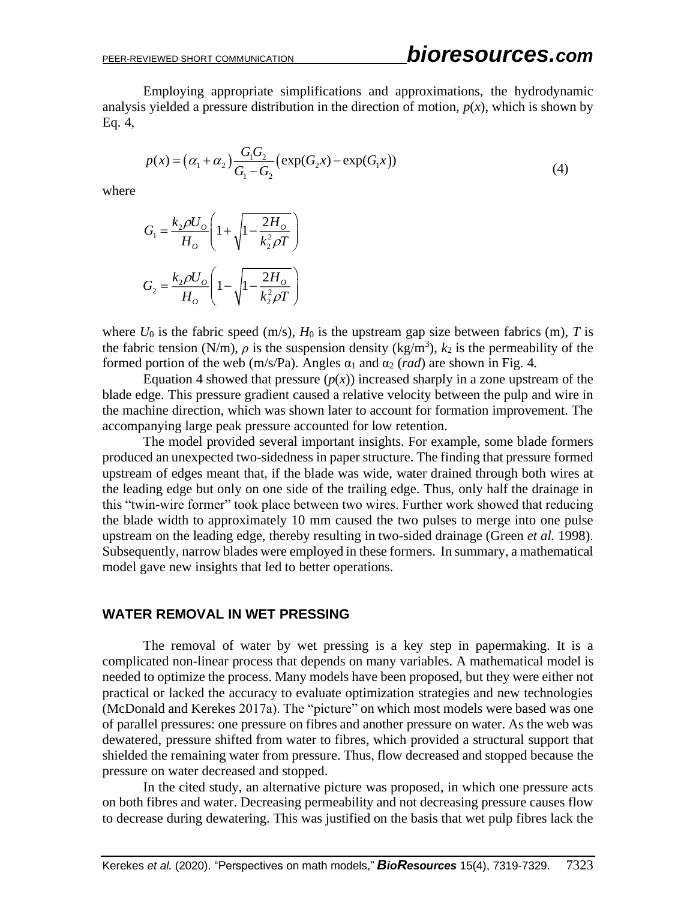Employing appropriate simplifications and approximations, the hydrodynamic analysis yielded a pressure distribution in the direction of motion,  $p(x)$ , which is shown by Eq. 4,

$$
p(x) = (\alpha_1 + \alpha_2) \frac{G_1 G_2}{G_1 - G_2} (\exp(G_2 x) - \exp(G_1 x))
$$
\n(4)

where

$$
G_1 = \frac{k_2 \rho U_o}{H_o} \left( 1 + \sqrt{1 - \frac{2H_o}{k_2^2 \rho T}} \right)
$$
  

$$
G_2 = \frac{k_2 \rho U_o}{H_o} \left( 1 - \sqrt{1 - \frac{2H_o}{k_2^2 \rho T}} \right)
$$

where  $U_0$  is the fabric speed (m/s),  $H_0$  is the upstream gap size between fabrics (m), *T* is the fabric tension (N/m),  $\rho$  is the suspension density (kg/m<sup>3</sup>),  $k_2$  is the permeability of the formed portion of the web (m/s/Pa). Angles  $\alpha_1$  and  $\alpha_2$  (*rad*) are shown in Fig. 4.

Equation 4 showed that pressure  $(p(x))$  increased sharply in a zone upstream of the blade edge. This pressure gradient caused a relative velocity between the pulp and wire in the machine direction, which was shown later to account for formation improvement. The accompanying large peak pressure accounted for low retention.

The model provided several important insights. For example, some blade formers produced an unexpected two-sidedness in paper structure. The finding that pressure formed upstream of edges meant that, if the blade was wide, water drained through both wires at the leading edge but only on one side of the trailing edge. Thus, only half the drainage in this "twin-wire former" took place between two wires. Further work showed that reducing the blade width to approximately 10 mm caused the two pulses to merge into one pulse upstream on the leading edge, thereby resulting in two-sided drainage (Green *et al.* 1998). Subsequently, narrow blades were employed in these formers. In summary, a mathematical model gave new insights that led to better operations.

#### **WATER REMOVAL IN WET PRESSING**

The removal of water by wet pressing is a key step in papermaking. It is a complicated non-linear process that depends on many variables. A mathematical model is needed to optimize the process. Many models have been proposed, but they were either not practical or lacked the accuracy to evaluate optimization strategies and new technologies (McDonald and Kerekes 2017a). The "picture" on which most models were based was one of parallel pressures: one pressure on fibres and another pressure on water. As the web was dewatered, pressure shifted from water to fibres, which provided a structural support that shielded the remaining water from pressure. Thus, flow decreased and stopped because the pressure on water decreased and stopped.

In the cited study, an alternative picture was proposed, in which one pressure acts on both fibres and water. Decreasing permeability and not decreasing pressure causes flow to decrease during dewatering. This was justified on the basis that wet pulp fibres lack the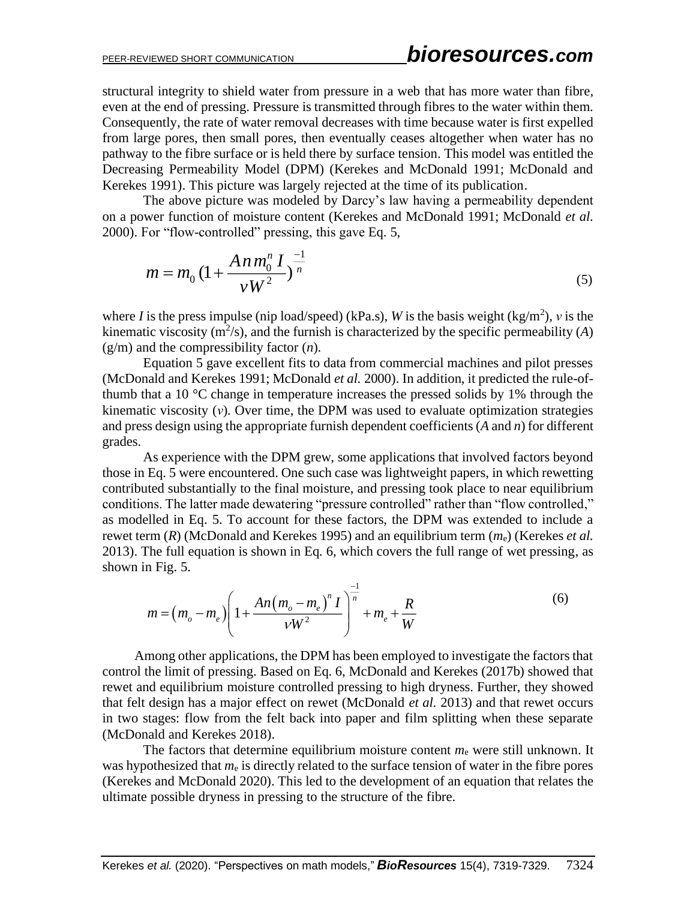structural integrity to shield water from pressure in a web that has more water than fibre, even at the end of pressing. Pressure is transmitted through fibres to the water within them. Consequently, the rate of water removal decreases with time because water is first expelled from large pores, then small pores, then eventually ceases altogether when water has no pathway to the fibre surface or is held there by surface tension. This model was entitled the Decreasing Permeability Model (DPM) (Kerekes and McDonald 1991; McDonald and Kerekes 1991). This picture was largely rejected at the time of its publication.

The above picture was modeled by Darcy's law having a permeability dependent on a power function of moisture content (Kerekes and McDonald 1991; McDonald *et al.* 2000). For "flow-controlled" pressing, this gave Eq. 5,

$$
m = m_0 \left(1 + \frac{An \, m_0^n \, I}{\nu \, W^2}\right)^{\frac{-1}{n}}
$$
\n<sup>(5)</sup>

where *I* is the press impulse (nip load/speed) (kPa.s), *W* is the basis weight (kg/m<sup>2</sup>), *v* is the kinematic viscosity  $(m^2/s)$ , and the furnish is characterized by the specific permeability (A) (g/m) and the compressibility factor (*n*).

Equation 5 gave excellent fits to data from commercial machines and pilot presses (McDonald and Kerekes 1991; McDonald *et al.* 2000). In addition, it predicted the rule-ofthumb that a 10 °C change in temperature increases the pressed solids by 1% through the kinematic viscosity (*ν*). Over time, the DPM was used to evaluate optimization strategies and press design using the appropriate furnish dependent coefficients (*A* and *n*) for different grades.

As experience with the DPM grew, some applications that involved factors beyond those in Eq. 5 were encountered. One such case was lightweight papers, in which rewetting contributed substantially to the final moisture, and pressing took place to near equilibrium conditions. The latter made dewatering "pressure controlled" rather than "flow controlled," as modelled in Eq. 5. To account for these factors, the DPM was extended to include a rewet term (*R*) (McDonald and Kerekes 1995) and an equilibrium term (*m*e) (Kerekes *et al.* 2013). The full equation is shown in Eq. 6, which covers the full range of wet pressing, as shown in Fig. 5.

$$
m = (m_o - m_e) \left( 1 + \frac{An(m_o - m_e)^n I}{V W^2} \right)^{\frac{-1}{n}} + m_e + \frac{R}{W}
$$
 (6)

Among other applications, the DPM has been employed to investigate the factors that control the limit of pressing. Based on Eq. 6, McDonald and Kerekes (2017b) showed that rewet and equilibrium moisture controlled pressing to high dryness. Further, they showed that felt design has a major effect on rewet (McDonald *et al.* 2013) and that rewet occurs in two stages: flow from the felt back into paper and film splitting when these separate (McDonald and Kerekes 2018).

The factors that determine equilibrium moisture content  $m_e$  were still unknown. It was hypothesized that  $m_e$  is directly related to the surface tension of water in the fibre pores (Kerekes and McDonald 2020). This led to the development of an equation that relates the ultimate possible dryness in pressing to the structure of the fibre.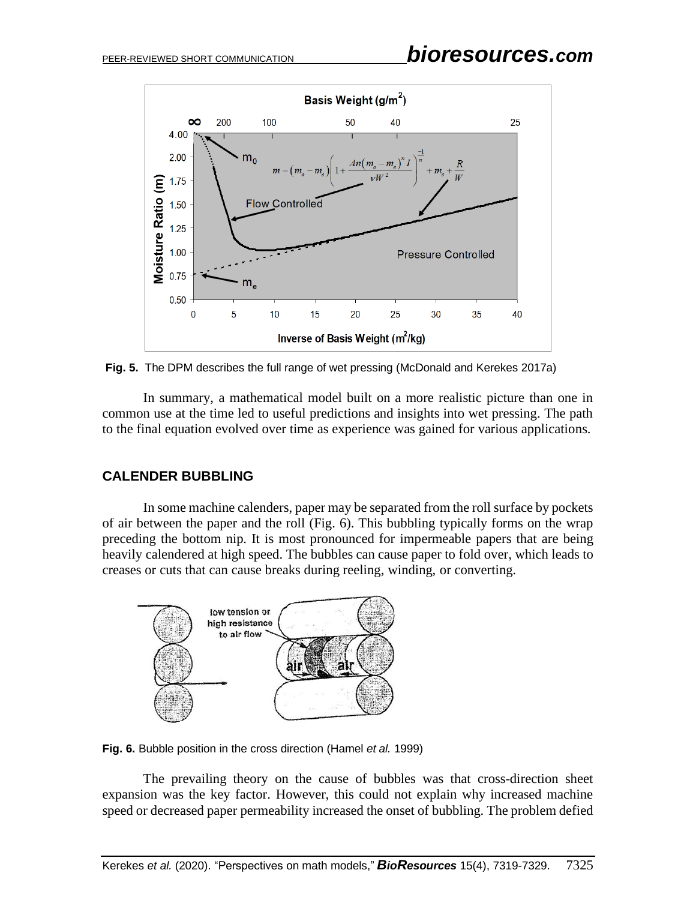

**Fig. 5.** The DPM describes the full range of wet pressing (McDonald and Kerekes 2017a)

 In summary, a mathematical model built on a more realistic picture than one in common use at the time led to useful predictions and insights into wet pressing. The path to the final equation evolved over time as experience was gained for various applications.

# **CALENDER BUBBLING**

In some machine calenders, paper may be separated from the roll surface by pockets of air between the paper and the roll (Fig. 6). This bubbling typically forms on the wrap preceding the bottom nip. It is most pronounced for impermeable papers that are being heavily calendered at high speed. The bubbles can cause paper to fold over, which leads to creases or cuts that can cause breaks during reeling, winding, or converting.



**Fig. 6.** Bubble position in the cross direction (Hamel *et al.* 1999)

The prevailing theory on the cause of bubbles was that cross-direction sheet expansion was the key factor. However, this could not explain why increased machine speed or decreased paper permeability increased the onset of bubbling. The problem defied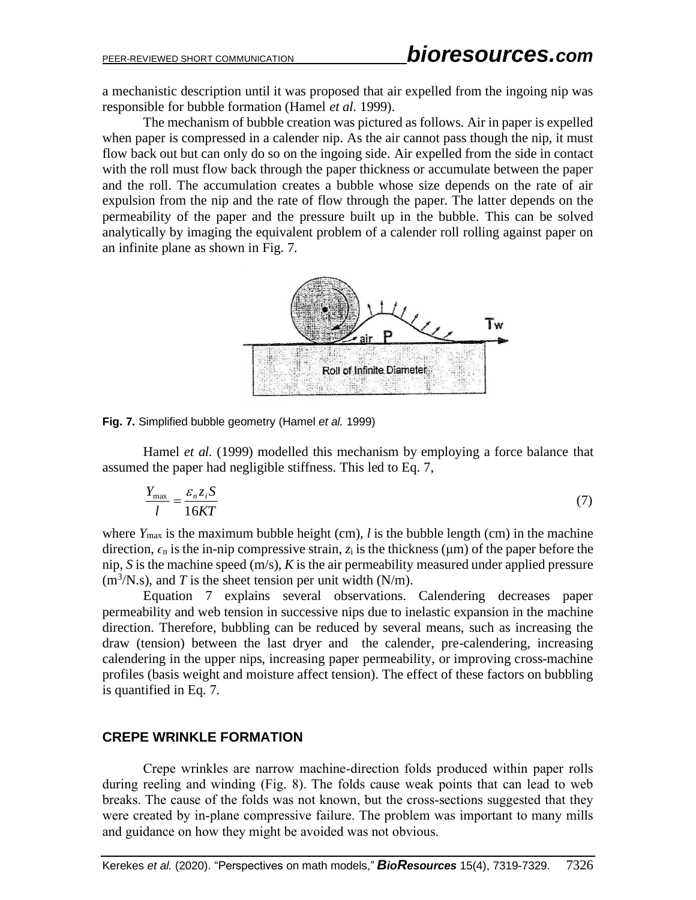a mechanistic description until it was proposed that air expelled from the ingoing nip was responsible for bubble formation (Hamel *et al.* 1999).

The mechanism of bubble creation was pictured as follows. Air in paper is expelled when paper is compressed in a calender nip. As the air cannot pass though the nip, it must flow back out but can only do so on the ingoing side. Air expelled from the side in contact with the roll must flow back through the paper thickness or accumulate between the paper and the roll. The accumulation creates a bubble whose size depends on the rate of air expulsion from the nip and the rate of flow through the paper. The latter depends on the permeability of the paper and the pressure built up in the bubble. This can be solved analytically by imaging the equivalent problem of a calender roll rolling against paper on an infinite plane as shown in Fig. 7.



**Fig. 7.** Simplified bubble geometry (Hamel *et al.* 1999)

Hamel *et al.* (1999) modelled this mechanism by employing a force balance that assumed the paper had negligible stiffness. This led to Eq. 7,

$$
\frac{Y_{\text{max}}}{l} = \frac{\varepsilon_n z_i S}{16KT} \tag{7}
$$

where  $Y_{\text{max}}$  is the maximum bubble height (cm), *l* is the bubble length (cm) in the machine direction,  $\epsilon_n$  is the in-nip compressive strain,  $z_i$  is the thickness ( $\mu$ m) of the paper before the nip, *S* is the machine speed (m/s), *K* is the air permeability measured under applied pressure  $(m<sup>3</sup>/N.s)$ , and *T* is the sheet tension per unit width (N/m).

Equation 7 explains several observations. Calendering decreases paper permeability and web tension in successive nips due to inelastic expansion in the machine direction. Therefore, bubbling can be reduced by several means, such as increasing the draw (tension) between the last dryer and the calender, pre-calendering, increasing calendering in the upper nips, increasing paper permeability, or improving cross-machine profiles (basis weight and moisture affect tension). The effect of these factors on bubbling is quantified in Eq. 7.

# **CREPE WRINKLE FORMATION**

Crepe wrinkles are narrow machine-direction folds produced within paper rolls during reeling and winding (Fig. 8). The folds cause weak points that can lead to web breaks. The cause of the folds was not known, but the cross-sections suggested that they were created by in-plane compressive failure. The problem was important to many mills and guidance on how they might be avoided was not obvious.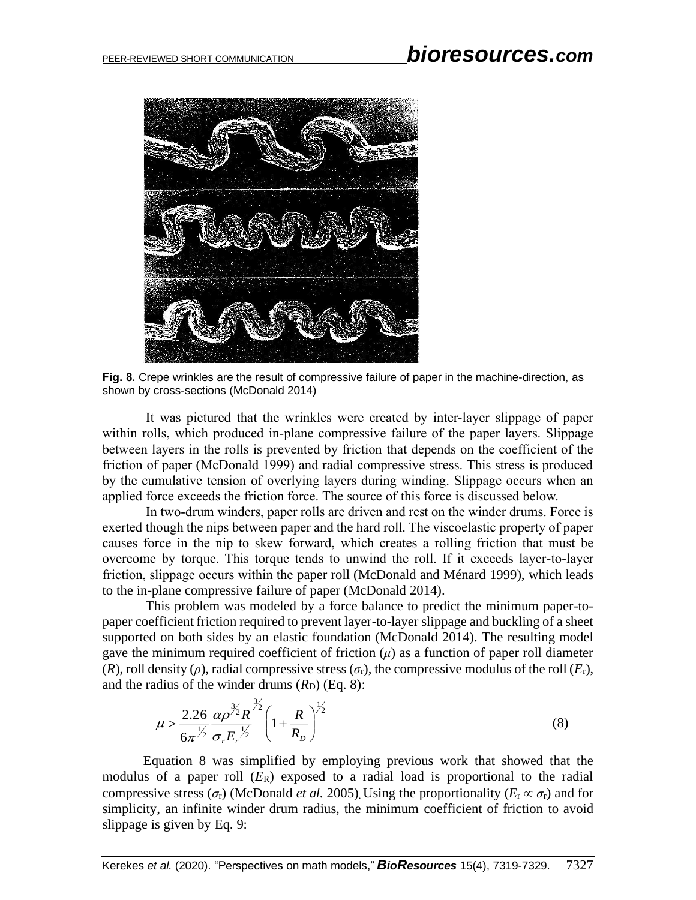

**Fig. 8.** Crepe wrinkles are the result of compressive failure of paper in the machine-direction, as shown by cross-sections (McDonald 2014)

It was pictured that the wrinkles were created by inter-layer slippage of paper within rolls, which produced in-plane compressive failure of the paper layers. Slippage between layers in the rolls is prevented by friction that depends on the coefficient of the friction of paper (McDonald 1999) and radial compressive stress. This stress is produced by the cumulative tension of overlying layers during winding. Slippage occurs when an applied force exceeds the friction force. The source of this force is discussed below.

In two-drum winders, paper rolls are driven and rest on the winder drums. Force is exerted though the nips between paper and the hard roll. The viscoelastic property of paper causes force in the nip to skew forward, which creates a rolling friction that must be overcome by torque. This torque tends to unwind the roll. If it exceeds layer-to-layer friction, slippage occurs within the paper roll (McDonald and Ménard 1999), which leads to the in-plane compressive failure of paper (McDonald 2014).

 This problem was modeled by a force balance to predict the minimum paper-topaper coefficient friction required to prevent layer-to-layer slippage and buckling of a sheet supported on both sides by an elastic foundation (McDonald 2014). The resulting model gave the minimum required coefficient of friction  $(\mu)$  as a function of paper roll diameter (*R*), roll density ( $\rho$ ), radial compressive stress ( $\sigma_r$ ), the compressive modulus of the roll ( $E_r$ ), and the radius of the winder drums  $(R_D)$  (Eq. 8):

$$
\mu > \frac{2.26}{6\pi^{\frac{1}{2}}} \frac{\alpha \rho^{3/2} R}{\sigma_r E_r^{\frac{1}{2}}} \left( 1 + \frac{R}{R_D} \right)^{\frac{1}{2}}
$$
(8)

Equation 8 was simplified by employing previous work that showed that the modulus of a paper roll  $(E_R)$  exposed to a radial load is proportional to the radial compressive stress ( $\sigma_r$ ) (McDonald *et al.* 2005). Using the proportionality ( $E_r \propto \sigma_r$ ) and for simplicity, an infinite winder drum radius, the minimum coefficient of friction to avoid slippage is given by Eq. 9: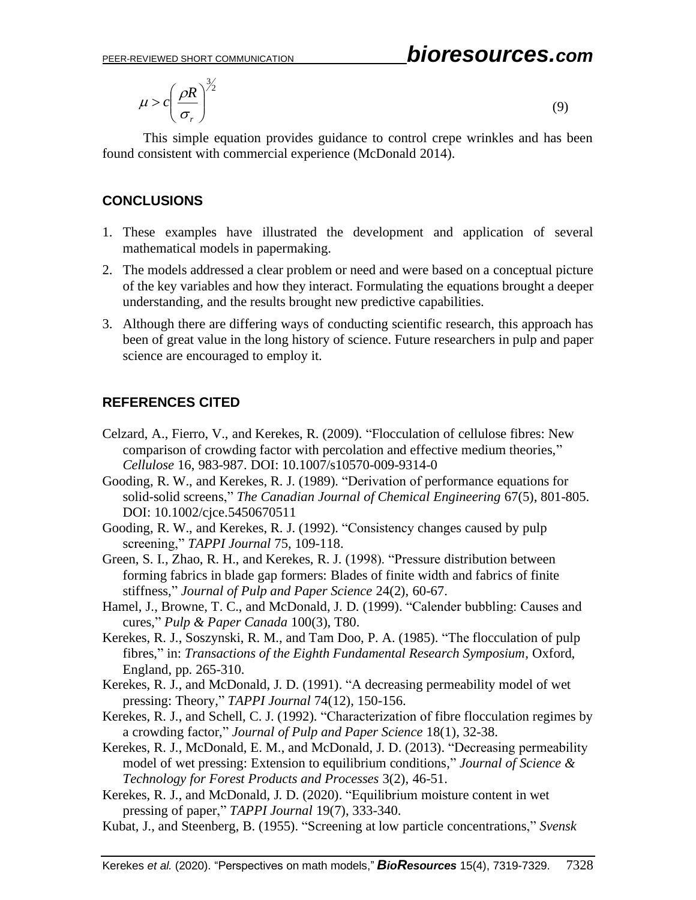$$
\mu > c \left(\frac{\rho R}{\sigma_r}\right)^{3/2}
$$

(9)

This simple equation provides guidance to control crepe wrinkles and has been found consistent with commercial experience (McDonald 2014).

# **CONCLUSIONS**

- 1. These examples have illustrated the development and application of several mathematical models in papermaking.
- 2. The models addressed a clear problem or need and were based on a conceptual picture of the key variables and how they interact. Formulating the equations brought a deeper understanding, and the results brought new predictive capabilities.
- 3. Although there are differing ways of conducting scientific research, this approach has been of great value in the long history of science. Future researchers in pulp and paper science are encouraged to employ it.

# **REFERENCES CITED**

- Celzard, A., Fierro, V., and Kerekes, R. (2009). "Flocculation of cellulose fibres: New comparison of crowding factor with percolation and effective medium theories," *Cellulose* 16, 983-987. DOI: 10.1007/s10570-009-9314-0
- Gooding, R. W., and Kerekes, R. J. (1989). "Derivation of performance equations for solid-solid screens," *The Canadian Journal of Chemical Engineering* 67(5), 801-805. DOI: 10.1002/cjce.5450670511
- Gooding, R. W., and Kerekes, R. J. (1992). "Consistency changes caused by pulp screening," *TAPPI Journal* 75, 109-118.
- Green, S. I., Zhao, R. H., and Kerekes, R. J. (1998). "Pressure distribution between forming fabrics in blade gap formers: Blades of finite width and fabrics of finite stiffness," *Journal of Pulp and Paper Science* 24(2), 60-67.
- Hamel, J., Browne, T. C., and McDonald, J. D. (1999). "Calender bubbling: Causes and cures," *Pulp & Paper Canada* 100(3), T80.
- Kerekes, R. J., Soszynski, R. M., and Tam Doo, P. A. (1985). "The flocculation of pulp fibres," in: *Transactions of the Eighth Fundamental Research Symposium*, Oxford, England, pp. 265-310.
- Kerekes, R. J., and McDonald, J. D. (1991). "A decreasing permeability model of wet pressing: Theory," *TAPPI Journal* 74(12), 150-156.
- Kerekes, R. J., and Schell, C. J. (1992). "Characterization of fibre flocculation regimes by a crowding factor," *Journal of Pulp and Paper Science* 18(1), 32-38.
- Kerekes, R. J., McDonald, E. M., and McDonald, J. D. (2013). "Decreasing permeability model of wet pressing: Extension to equilibrium conditions," *Journal of Science & Technology for Forest Products and Processes* 3(2), 46-51.
- Kerekes, R. J., and McDonald, J. D. (2020). "Equilibrium moisture content in wet pressing of paper," *TAPPI Journal* 19(7), 333-340.
- Kubat, J., and Steenberg, B. (1955). "Screening at low particle concentrations," *Svensk*